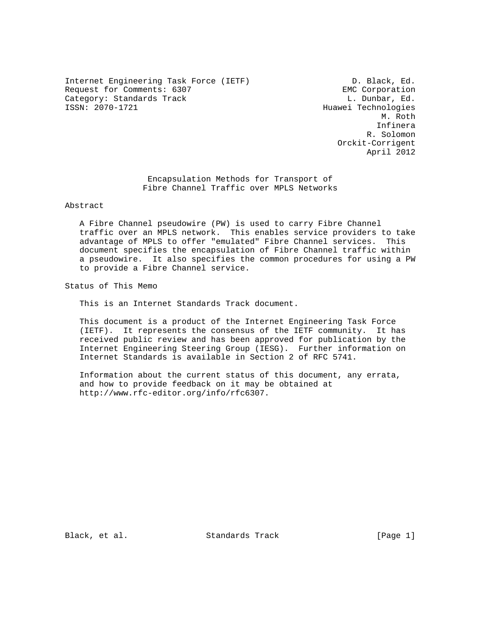Internet Engineering Task Force (IETF) D. Black, Ed. Request for Comments: 6307 EMC Corporation<br>
Category: Standards Track Category: Ed. Dunbar, Ed. Category: Standards Track<br>ISSN: 2070-1721

Huawei Technologies M. Roth Infinera R. Solomon Orckit-Corrigent April 2012

> Encapsulation Methods for Transport of Fibre Channel Traffic over MPLS Networks

Abstract

 A Fibre Channel pseudowire (PW) is used to carry Fibre Channel traffic over an MPLS network. This enables service providers to take advantage of MPLS to offer "emulated" Fibre Channel services. This document specifies the encapsulation of Fibre Channel traffic within a pseudowire. It also specifies the common procedures for using a PW to provide a Fibre Channel service.

Status of This Memo

This is an Internet Standards Track document.

 This document is a product of the Internet Engineering Task Force (IETF). It represents the consensus of the IETF community. It has received public review and has been approved for publication by the Internet Engineering Steering Group (IESG). Further information on Internet Standards is available in Section 2 of RFC 5741.

 Information about the current status of this document, any errata, and how to provide feedback on it may be obtained at http://www.rfc-editor.org/info/rfc6307.

Black, et al. Standards Track [Page 1]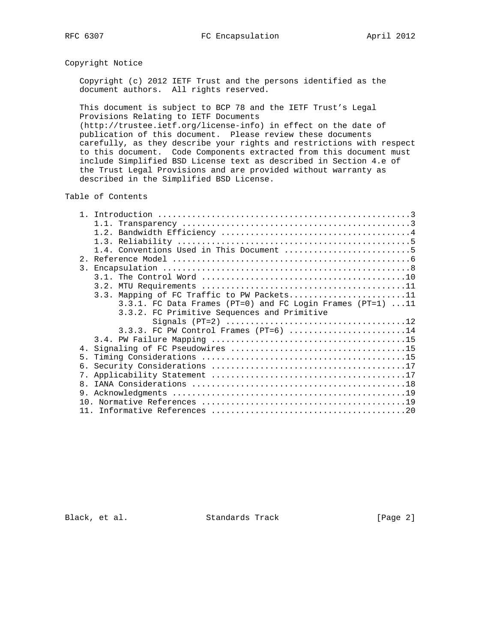# Copyright Notice

 Copyright (c) 2012 IETF Trust and the persons identified as the document authors. All rights reserved.

 This document is subject to BCP 78 and the IETF Trust's Legal Provisions Relating to IETF Documents

 (http://trustee.ietf.org/license-info) in effect on the date of publication of this document. Please review these documents carefully, as they describe your rights and restrictions with respect to this document. Code Components extracted from this document must include Simplified BSD License text as described in Section 4.e of the Trust Legal Provisions and are provided without warranty as described in the Simplified BSD License.

Table of Contents

|                | 1.4. Conventions Used in This Document 5                   |
|----------------|------------------------------------------------------------|
|                |                                                            |
|                |                                                            |
|                |                                                            |
|                |                                                            |
|                | 3.3. Mapping of FC Traffic to PW Packets11                 |
|                | 3.3.1. FC Data Frames (PT=0) and FC Login Frames (PT=1) 11 |
|                | 3.3.2. FC Primitive Sequences and Primitive                |
|                |                                                            |
|                | $3.3.3.$ FC PW Control Frames (PT=6) 14                    |
|                |                                                            |
|                |                                                            |
| $5 -$          |                                                            |
|                |                                                            |
| 7 <sup>1</sup> |                                                            |
| 8 <sub>1</sub> |                                                            |
| 9.             |                                                            |
|                |                                                            |
|                |                                                            |

Black, et al. Standards Track [Page 2]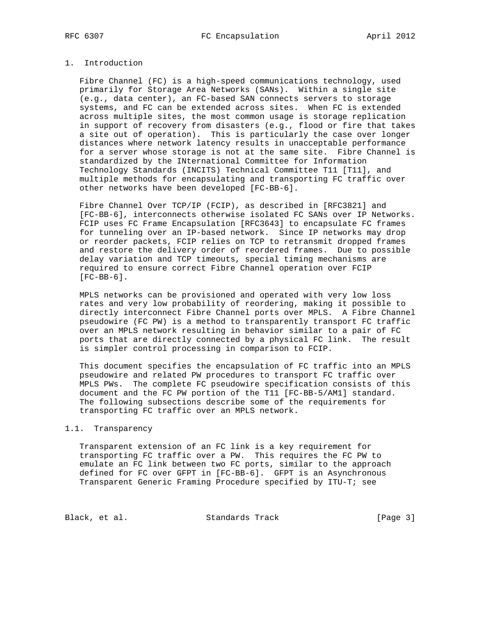# 1. Introduction

 Fibre Channel (FC) is a high-speed communications technology, used primarily for Storage Area Networks (SANs). Within a single site (e.g., data center), an FC-based SAN connects servers to storage systems, and FC can be extended across sites. When FC is extended across multiple sites, the most common usage is storage replication in support of recovery from disasters (e.g., flood or fire that takes a site out of operation). This is particularly the case over longer distances where network latency results in unacceptable performance for a server whose storage is not at the same site. Fibre Channel is standardized by the INternational Committee for Information Technology Standards (INCITS) Technical Committee T11 [T11], and multiple methods for encapsulating and transporting FC traffic over other networks have been developed [FC-BB-6].

 Fibre Channel Over TCP/IP (FCIP), as described in [RFC3821] and [FC-BB-6], interconnects otherwise isolated FC SANs over IP Networks. FCIP uses FC Frame Encapsulation [RFC3643] to encapsulate FC frames for tunneling over an IP-based network. Since IP networks may drop or reorder packets, FCIP relies on TCP to retransmit dropped frames and restore the delivery order of reordered frames. Due to possible delay variation and TCP timeouts, special timing mechanisms are required to ensure correct Fibre Channel operation over FCIP [FC-BB-6].

 MPLS networks can be provisioned and operated with very low loss rates and very low probability of reordering, making it possible to directly interconnect Fibre Channel ports over MPLS. A Fibre Channel pseudowire (FC PW) is a method to transparently transport FC traffic over an MPLS network resulting in behavior similar to a pair of FC ports that are directly connected by a physical FC link. The result is simpler control processing in comparison to FCIP.

 This document specifies the encapsulation of FC traffic into an MPLS pseudowire and related PW procedures to transport FC traffic over MPLS PWs. The complete FC pseudowire specification consists of this document and the FC PW portion of the T11 [FC-BB-5/AM1] standard. The following subsections describe some of the requirements for transporting FC traffic over an MPLS network.

# 1.1. Transparency

 Transparent extension of an FC link is a key requirement for transporting FC traffic over a PW. This requires the FC PW to emulate an FC link between two FC ports, similar to the approach defined for FC over GFPT in [FC-BB-6]. GFPT is an Asynchronous Transparent Generic Framing Procedure specified by ITU-T; see

Black, et al. Standards Track [Page 3]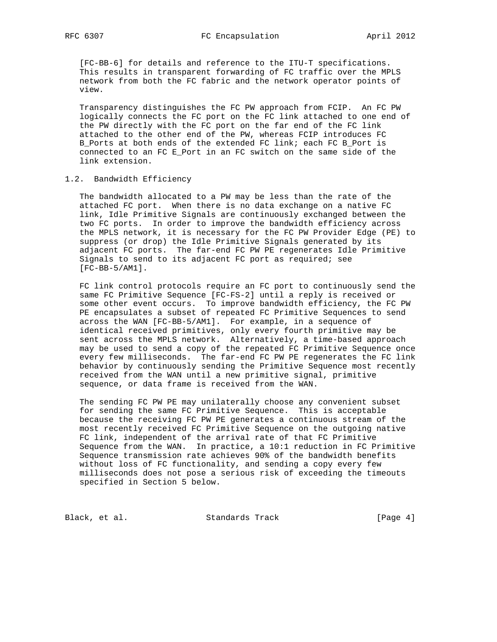[FC-BB-6] for details and reference to the ITU-T specifications. This results in transparent forwarding of FC traffic over the MPLS network from both the FC fabric and the network operator points of view.

 Transparency distinguishes the FC PW approach from FCIP. An FC PW logically connects the FC port on the FC link attached to one end of the PW directly with the FC port on the far end of the FC link attached to the other end of the PW, whereas FCIP introduces FC B\_Ports at both ends of the extended FC link; each FC B\_Port is connected to an FC E\_Port in an FC switch on the same side of the link extension.

## 1.2. Bandwidth Efficiency

 The bandwidth allocated to a PW may be less than the rate of the attached FC port. When there is no data exchange on a native FC link, Idle Primitive Signals are continuously exchanged between the two FC ports. In order to improve the bandwidth efficiency across the MPLS network, it is necessary for the FC PW Provider Edge (PE) to suppress (or drop) the Idle Primitive Signals generated by its adjacent FC ports. The far-end FC PW PE regenerates Idle Primitive Signals to send to its adjacent FC port as required; see [FC-BB-5/AM1].

 FC link control protocols require an FC port to continuously send the same FC Primitive Sequence [FC-FS-2] until a reply is received or some other event occurs. To improve bandwidth efficiency, the FC PW PE encapsulates a subset of repeated FC Primitive Sequences to send across the WAN [FC-BB-5/AM1]. For example, in a sequence of identical received primitives, only every fourth primitive may be sent across the MPLS network. Alternatively, a time-based approach may be used to send a copy of the repeated FC Primitive Sequence once every few milliseconds. The far-end FC PW PE regenerates the FC link behavior by continuously sending the Primitive Sequence most recently received from the WAN until a new primitive signal, primitive sequence, or data frame is received from the WAN.

 The sending FC PW PE may unilaterally choose any convenient subset for sending the same FC Primitive Sequence. This is acceptable because the receiving FC PW PE generates a continuous stream of the most recently received FC Primitive Sequence on the outgoing native FC link, independent of the arrival rate of that FC Primitive Sequence from the WAN. In practice, a 10:1 reduction in FC Primitive Sequence transmission rate achieves 90% of the bandwidth benefits without loss of FC functionality, and sending a copy every few milliseconds does not pose a serious risk of exceeding the timeouts specified in Section 5 below.

Black, et al. Standards Track [Page 4]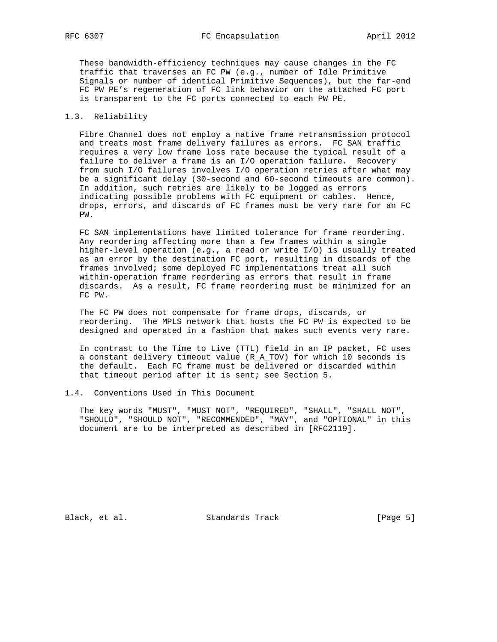These bandwidth-efficiency techniques may cause changes in the FC traffic that traverses an FC PW (e.g., number of Idle Primitive Signals or number of identical Primitive Sequences), but the far-end FC PW PE's regeneration of FC link behavior on the attached FC port is transparent to the FC ports connected to each PW PE.

## 1.3. Reliability

 Fibre Channel does not employ a native frame retransmission protocol and treats most frame delivery failures as errors. FC SAN traffic requires a very low frame loss rate because the typical result of a failure to deliver a frame is an I/O operation failure. Recovery from such I/O failures involves I/O operation retries after what may be a significant delay (30-second and 60-second timeouts are common). In addition, such retries are likely to be logged as errors indicating possible problems with FC equipment or cables. Hence, drops, errors, and discards of FC frames must be very rare for an FC PW.

 FC SAN implementations have limited tolerance for frame reordering. Any reordering affecting more than a few frames within a single higher-level operation (e.g., a read or write I/O) is usually treated as an error by the destination FC port, resulting in discards of the frames involved; some deployed FC implementations treat all such within-operation frame reordering as errors that result in frame discards. As a result, FC frame reordering must be minimized for an FC PW.

 The FC PW does not compensate for frame drops, discards, or reordering. The MPLS network that hosts the FC PW is expected to be designed and operated in a fashion that makes such events very rare.

 In contrast to the Time to Live (TTL) field in an IP packet, FC uses a constant delivery timeout value (R\_A\_TOV) for which 10 seconds is the default. Each FC frame must be delivered or discarded within that timeout period after it is sent; see Section 5.

### 1.4. Conventions Used in This Document

 The key words "MUST", "MUST NOT", "REQUIRED", "SHALL", "SHALL NOT", "SHOULD", "SHOULD NOT", "RECOMMENDED", "MAY", and "OPTIONAL" in this document are to be interpreted as described in [RFC2119].

Black, et al. Standards Track [Page 5]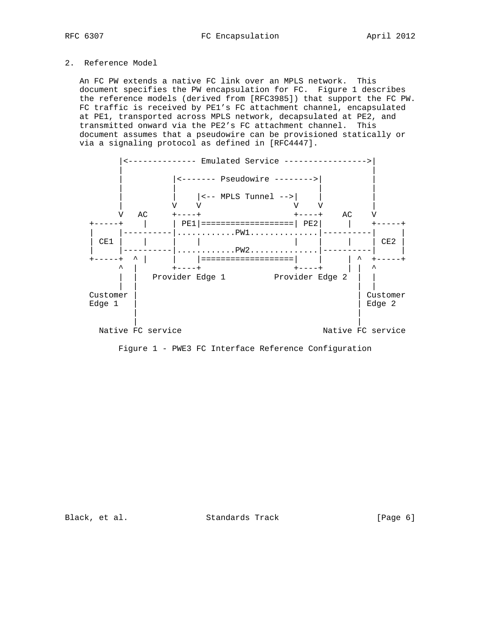# 2. Reference Model

 An FC PW extends a native FC link over an MPLS network. This document specifies the PW encapsulation for FC. Figure 1 describes the reference models (derived from [RFC3985]) that support the FC PW. FC traffic is received by PE1's FC attachment channel, encapsulated at PE1, transported across MPLS network, decapsulated at PE2, and transmitted onward via the PE2's FC attachment channel. This document assumes that a pseudowire can be provisioned statically or via a signaling protocol as defined in [RFC4447].



Figure 1 - PWE3 FC Interface Reference Configuration

Black, et al. Standards Track [Page 6]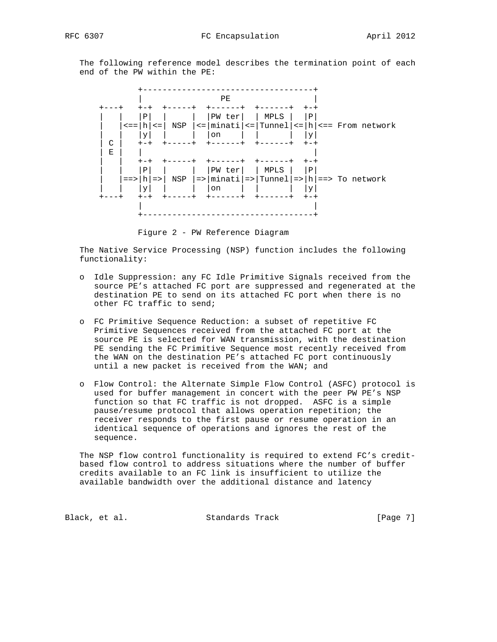The following reference model describes the termination point of each end of the PW within the PE:



Figure 2 - PW Reference Diagram

 The Native Service Processing (NSP) function includes the following functionality:

- o Idle Suppression: any FC Idle Primitive Signals received from the source PE's attached FC port are suppressed and regenerated at the destination PE to send on its attached FC port when there is no other FC traffic to send;
- o FC Primitive Sequence Reduction: a subset of repetitive FC Primitive Sequences received from the attached FC port at the source PE is selected for WAN transmission, with the destination PE sending the FC Primitive Sequence most recently received from the WAN on the destination PE's attached FC port continuously until a new packet is received from the WAN; and
- o Flow Control: the Alternate Simple Flow Control (ASFC) protocol is used for buffer management in concert with the peer PW PE's NSP function so that FC traffic is not dropped. ASFC is a simple pause/resume protocol that allows operation repetition; the receiver responds to the first pause or resume operation in an identical sequence of operations and ignores the rest of the sequence.

 The NSP flow control functionality is required to extend FC's credit based flow control to address situations where the number of buffer credits available to an FC link is insufficient to utilize the available bandwidth over the additional distance and latency

Black, et al. Standards Track [Page 7]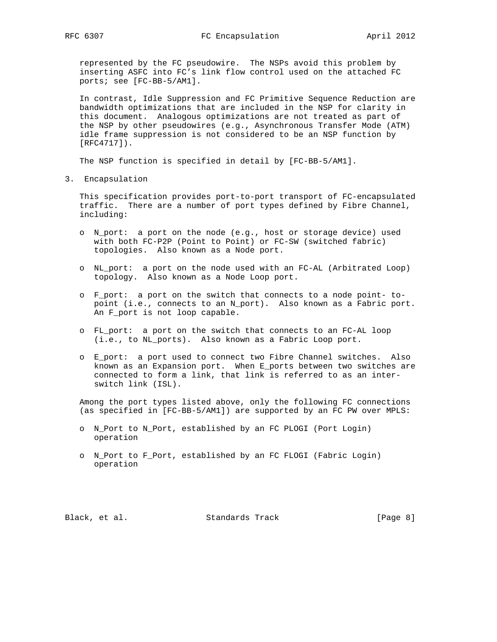represented by the FC pseudowire. The NSPs avoid this problem by inserting ASFC into FC's link flow control used on the attached FC ports; see [FC-BB-5/AM1].

 In contrast, Idle Suppression and FC Primitive Sequence Reduction are bandwidth optimizations that are included in the NSP for clarity in this document. Analogous optimizations are not treated as part of the NSP by other pseudowires (e.g., Asynchronous Transfer Mode (ATM) idle frame suppression is not considered to be an NSP function by [RFC4717]).

The NSP function is specified in detail by [FC-BB-5/AM1].

3. Encapsulation

 This specification provides port-to-port transport of FC-encapsulated traffic. There are a number of port types defined by Fibre Channel, including:

- o N\_port: a port on the node (e.g., host or storage device) used with both FC-P2P (Point to Point) or FC-SW (switched fabric) topologies. Also known as a Node port.
- o NL\_port: a port on the node used with an FC-AL (Arbitrated Loop) topology. Also known as a Node Loop port.
- o F\_port: a port on the switch that connects to a node point- to point (i.e., connects to an N\_port). Also known as a Fabric port. An F\_port is not loop capable.
- o FL\_port: a port on the switch that connects to an FC-AL loop (i.e., to NL\_ports). Also known as a Fabric Loop port.
- o E\_port: a port used to connect two Fibre Channel switches. Also known as an Expansion port. When E\_ports between two switches are connected to form a link, that link is referred to as an inter switch link (ISL).

 Among the port types listed above, only the following FC connections (as specified in [FC-BB-5/AM1]) are supported by an FC PW over MPLS:

- o N\_Port to N\_Port, established by an FC PLOGI (Port Login) operation
- o N\_Port to F\_Port, established by an FC FLOGI (Fabric Login) operation

Black, et al. Standards Track [Page 8]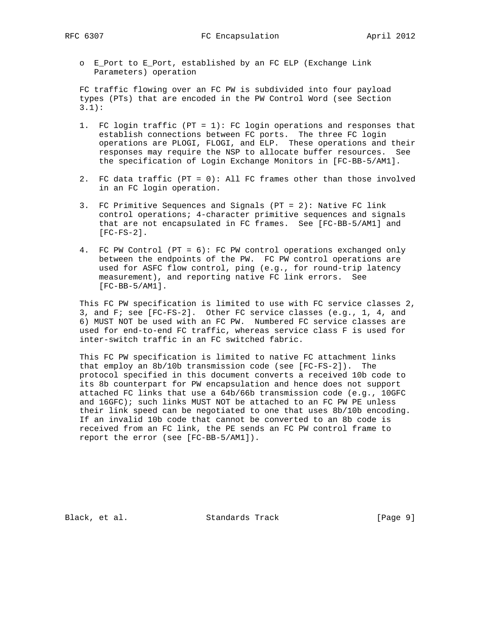o E\_Port to E\_Port, established by an FC ELP (Exchange Link Parameters) operation

 FC traffic flowing over an FC PW is subdivided into four payload types (PTs) that are encoded in the PW Control Word (see Section 3.1):

- 1. FC login traffic (PT = 1): FC login operations and responses that establish connections between FC ports. The three FC login operations are PLOGI, FLOGI, and ELP. These operations and their responses may require the NSP to allocate buffer resources. See the specification of Login Exchange Monitors in [FC-BB-5/AM1].
- 2. FC data traffic (PT = 0): All FC frames other than those involved in an FC login operation.
- 3. FC Primitive Sequences and Signals (PT = 2): Native FC link control operations; 4-character primitive sequences and signals that are not encapsulated in FC frames. See [FC-BB-5/AM1] and [FC-FS-2].
- 4. FC PW Control (PT = 6): FC PW control operations exchanged only between the endpoints of the PW. FC PW control operations are used for ASFC flow control, ping (e.g., for round-trip latency measurement), and reporting native FC link errors. See [FC-BB-5/AM1].

 This FC PW specification is limited to use with FC service classes 2, 3, and F; see [FC-FS-2]. Other FC service classes (e.g., 1, 4, and 6) MUST NOT be used with an FC PW. Numbered FC service classes are used for end-to-end FC traffic, whereas service class F is used for inter-switch traffic in an FC switched fabric.

 This FC PW specification is limited to native FC attachment links that employ an 8b/10b transmission code (see [FC-FS-2]). The protocol specified in this document converts a received 10b code to its 8b counterpart for PW encapsulation and hence does not support attached FC links that use a 64b/66b transmission code (e.g., 10GFC and 16GFC); such links MUST NOT be attached to an FC PW PE unless their link speed can be negotiated to one that uses 8b/10b encoding. If an invalid 10b code that cannot be converted to an 8b code is received from an FC link, the PE sends an FC PW control frame to report the error (see [FC-BB-5/AM1]).

Black, et al. Standards Track [Page 9]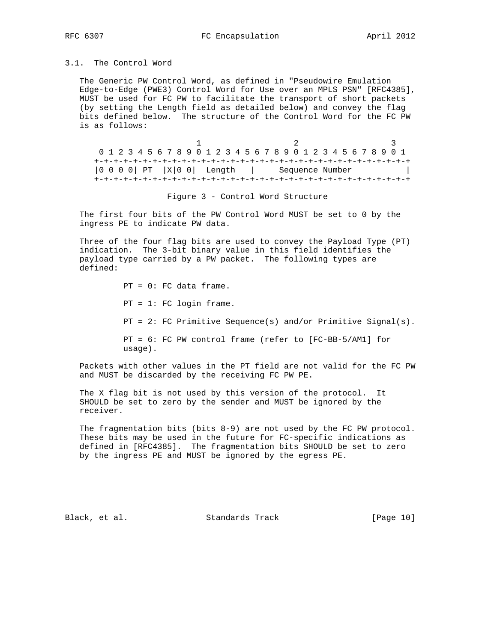# 3.1. The Control Word

 The Generic PW Control Word, as defined in "Pseudowire Emulation Edge-to-Edge (PWE3) Control Word for Use over an MPLS PSN" [RFC4385], MUST be used for FC PW to facilitate the transport of short packets (by setting the Length field as detailed below) and convey the flag bits defined below. The structure of the Control Word for the FC PW is as follows:

 $1$   $2$   $3$  0 1 2 3 4 5 6 7 8 9 0 1 2 3 4 5 6 7 8 9 0 1 2 3 4 5 6 7 8 9 0 1 +-+-+-+-+-+-+-+-+-+-+-+-+-+-+-+-+-+-+-+-+-+-+-+-+-+-+-+-+-+-+-+-+ |0 0 0 0| PT |X|0 0| Length | Sequence Number | +-+-+-+-+-+-+-+-+-+-+-+-+-+-+-+-+-+-+-+-+-+-+-+-+-+-+-+-+-+-+-+-+

Figure 3 - Control Word Structure

 The first four bits of the PW Control Word MUST be set to 0 by the ingress PE to indicate PW data.

 Three of the four flag bits are used to convey the Payload Type (PT) indication. The 3-bit binary value in this field identifies the payload type carried by a PW packet. The following types are defined:

> PT = 0: FC data frame. PT = 1: FC login frame. PT = 2: FC Primitive Sequence(s) and/or Primitive Signal(s). PT = 6: FC PW control frame (refer to [FC-BB-5/AM1] for usage).

 Packets with other values in the PT field are not valid for the FC PW and MUST be discarded by the receiving FC PW PE.

 The X flag bit is not used by this version of the protocol. It SHOULD be set to zero by the sender and MUST be ignored by the receiver.

The fragmentation bits (bits  $8-9$ ) are not used by the FC PW protocol. These bits may be used in the future for FC-specific indications as defined in [RFC4385]. The fragmentation bits SHOULD be set to zero by the ingress PE and MUST be ignored by the egress PE.

Black, et al. Standards Track [Page 10]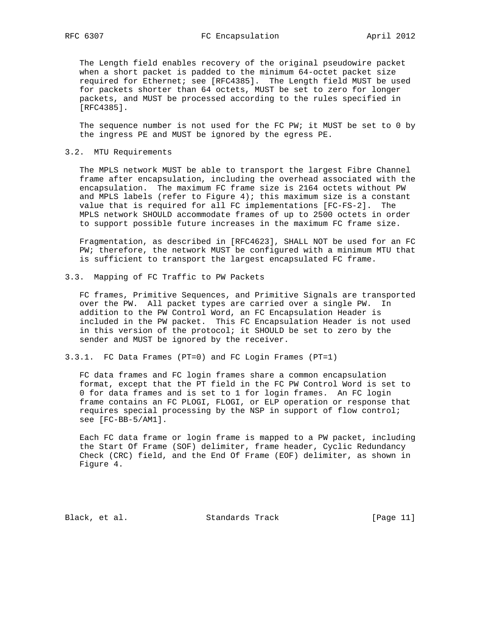The Length field enables recovery of the original pseudowire packet when a short packet is padded to the minimum 64-octet packet size required for Ethernet; see [RFC4385]. The Length field MUST be used for packets shorter than 64 octets, MUST be set to zero for longer packets, and MUST be processed according to the rules specified in [RFC4385].

 The sequence number is not used for the FC PW; it MUST be set to 0 by the ingress PE and MUST be ignored by the egress PE.

### 3.2. MTU Requirements

 The MPLS network MUST be able to transport the largest Fibre Channel frame after encapsulation, including the overhead associated with the encapsulation. The maximum FC frame size is 2164 octets without PW and MPLS labels (refer to Figure 4); this maximum size is a constant value that is required for all FC implementations [FC-FS-2]. The MPLS network SHOULD accommodate frames of up to 2500 octets in order to support possible future increases in the maximum FC frame size.

 Fragmentation, as described in [RFC4623], SHALL NOT be used for an FC PW; therefore, the network MUST be configured with a minimum MTU that is sufficient to transport the largest encapsulated FC frame.

3.3. Mapping of FC Traffic to PW Packets

 FC frames, Primitive Sequences, and Primitive Signals are transported over the PW. All packet types are carried over a single PW. In addition to the PW Control Word, an FC Encapsulation Header is included in the PW packet. This FC Encapsulation Header is not used in this version of the protocol; it SHOULD be set to zero by the sender and MUST be ignored by the receiver.

3.3.1. FC Data Frames (PT=0) and FC Login Frames (PT=1)

 FC data frames and FC login frames share a common encapsulation format, except that the PT field in the FC PW Control Word is set to 0 for data frames and is set to 1 for login frames. An FC login frame contains an FC PLOGI, FLOGI, or ELP operation or response that requires special processing by the NSP in support of flow control; see [FC-BB-5/AM1].

 Each FC data frame or login frame is mapped to a PW packet, including the Start Of Frame (SOF) delimiter, frame header, Cyclic Redundancy Check (CRC) field, and the End Of Frame (EOF) delimiter, as shown in Figure 4.

Black, et al. Standards Track [Page 11]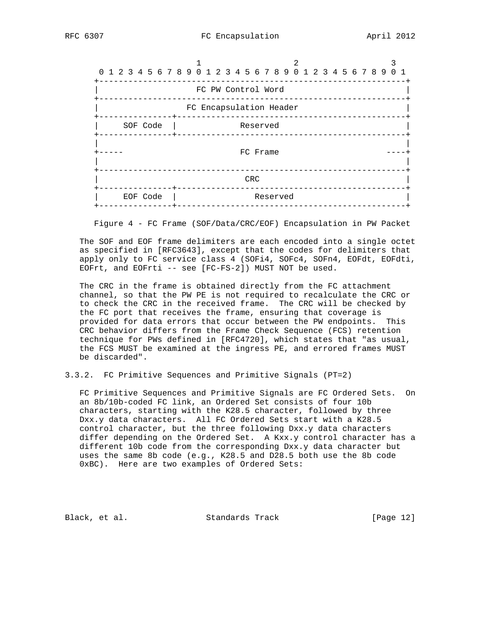

Figure 4 - FC Frame (SOF/Data/CRC/EOF) Encapsulation in PW Packet

 The SOF and EOF frame delimiters are each encoded into a single octet as specified in [RFC3643], except that the codes for delimiters that apply only to FC service class 4 (SOFi4, SOFc4, SOFn4, EOFdt, EOFdti, EOFrt, and EOFrti -- see [FC-FS-2]) MUST NOT be used.

 The CRC in the frame is obtained directly from the FC attachment channel, so that the PW PE is not required to recalculate the CRC or to check the CRC in the received frame. The CRC will be checked by the FC port that receives the frame, ensuring that coverage is provided for data errors that occur between the PW endpoints. This CRC behavior differs from the Frame Check Sequence (FCS) retention technique for PWs defined in [RFC4720], which states that "as usual, the FCS MUST be examined at the ingress PE, and errored frames MUST be discarded".

3.3.2. FC Primitive Sequences and Primitive Signals (PT=2)

 FC Primitive Sequences and Primitive Signals are FC Ordered Sets. On an 8b/10b-coded FC link, an Ordered Set consists of four 10b characters, starting with the K28.5 character, followed by three Dxx.y data characters. All FC Ordered Sets start with a K28.5 control character, but the three following Dxx.y data characters differ depending on the Ordered Set. A Kxx.y control character has a different 10b code from the corresponding Dxx.y data character but uses the same 8b code (e.g., K28.5 and D28.5 both use the 8b code 0xBC). Here are two examples of Ordered Sets:

Black, et al. Standards Track [Page 12]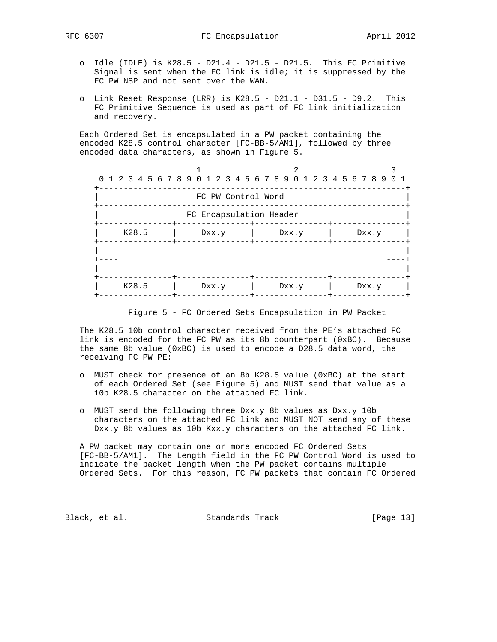- o Idle (IDLE) is  $K28.5 D21.4 D21.5 D21.5$ . This FC Primitive Signal is sent when the FC link is idle; it is suppressed by the FC PW NSP and not sent over the WAN.
- o Link Reset Response (LRR) is K28.5 D21.1 D31.5 D9.2. This FC Primitive Sequence is used as part of FC link initialization and recovery.

 Each Ordered Set is encapsulated in a PW packet containing the encoded K28.5 control character [FC-BB-5/AM1], followed by three encoded data characters, as shown in Figure 5.



Figure 5 - FC Ordered Sets Encapsulation in PW Packet

 The K28.5 10b control character received from the PE's attached FC link is encoded for the FC PW as its 8b counterpart (0xBC). Because the same 8b value (0xBC) is used to encode a D28.5 data word, the receiving FC PW PE:

- o MUST check for presence of an 8b K28.5 value (0xBC) at the start of each Ordered Set (see Figure 5) and MUST send that value as a 10b K28.5 character on the attached FC link.
- o MUST send the following three Dxx.y 8b values as Dxx.y 10b characters on the attached FC link and MUST NOT send any of these Dxx.y 8b values as 10b Kxx.y characters on the attached FC link.

 A PW packet may contain one or more encoded FC Ordered Sets [FC-BB-5/AM1]. The Length field in the FC PW Control Word is used to indicate the packet length when the PW packet contains multiple Ordered Sets. For this reason, FC PW packets that contain FC Ordered

Black, et al. Standards Track [Page 13]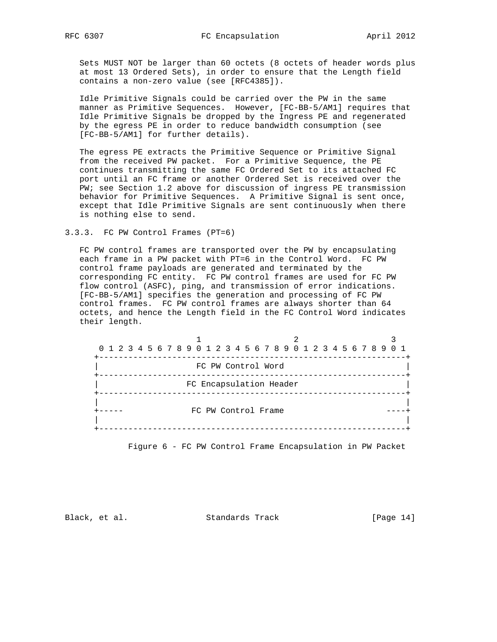Sets MUST NOT be larger than 60 octets (8 octets of header words plus at most 13 Ordered Sets), in order to ensure that the Length field contains a non-zero value (see [RFC4385]).

 Idle Primitive Signals could be carried over the PW in the same manner as Primitive Sequences. However, [FC-BB-5/AM1] requires that Idle Primitive Signals be dropped by the Ingress PE and regenerated by the egress PE in order to reduce bandwidth consumption (see [FC-BB-5/AM1] for further details).

 The egress PE extracts the Primitive Sequence or Primitive Signal from the received PW packet. For a Primitive Sequence, the PE continues transmitting the same FC Ordered Set to its attached FC port until an FC frame or another Ordered Set is received over the PW; see Section 1.2 above for discussion of ingress PE transmission behavior for Primitive Sequences. A Primitive Signal is sent once, except that Idle Primitive Signals are sent continuously when there is nothing else to send.

### 3.3.3. FC PW Control Frames (PT=6)

 FC PW control frames are transported over the PW by encapsulating each frame in a PW packet with PT=6 in the Control Word. FC PW control frame payloads are generated and terminated by the corresponding FC entity. FC PW control frames are used for FC PW flow control (ASFC), ping, and transmission of error indications. [FC-BB-5/AM1] specifies the generation and processing of FC PW control frames. FC PW control frames are always shorter than 64 octets, and hence the Length field in the FC Control Word indicates their length.



Figure 6 - FC PW Control Frame Encapsulation in PW Packet

Black, et al. Standards Track [Page 14]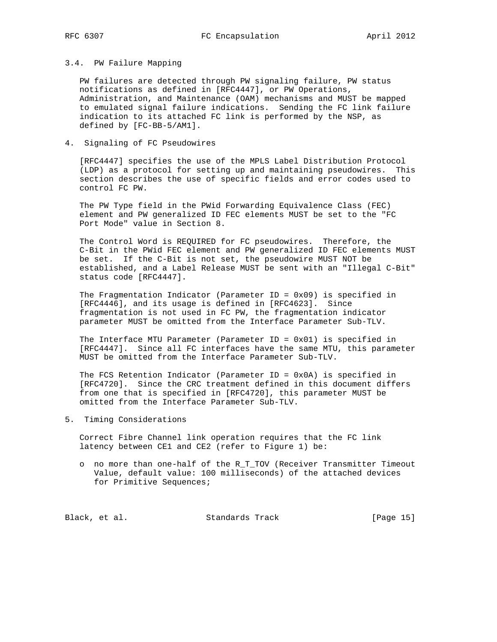### 3.4. PW Failure Mapping

 PW failures are detected through PW signaling failure, PW status notifications as defined in [RFC4447], or PW Operations, Administration, and Maintenance (OAM) mechanisms and MUST be mapped to emulated signal failure indications. Sending the FC link failure indication to its attached FC link is performed by the NSP, as defined by [FC-BB-5/AM1].

## 4. Signaling of FC Pseudowires

 [RFC4447] specifies the use of the MPLS Label Distribution Protocol (LDP) as a protocol for setting up and maintaining pseudowires. This section describes the use of specific fields and error codes used to control FC PW.

 The PW Type field in the PWid Forwarding Equivalence Class (FEC) element and PW generalized ID FEC elements MUST be set to the "FC Port Mode" value in Section 8.

 The Control Word is REQUIRED for FC pseudowires. Therefore, the C-Bit in the PWid FEC element and PW generalized ID FEC elements MUST be set. If the C-Bit is not set, the pseudowire MUST NOT be established, and a Label Release MUST be sent with an "Illegal C-Bit" status code [RFC4447].

The Fragmentation Indicator (Parameter ID =  $0x09$ ) is specified in [RFC4446], and its usage is defined in [RFC4623]. Since fragmentation is not used in FC PW, the fragmentation indicator parameter MUST be omitted from the Interface Parameter Sub-TLV.

 The Interface MTU Parameter (Parameter ID = 0x01) is specified in [RFC4447]. Since all FC interfaces have the same MTU, this parameter MUST be omitted from the Interface Parameter Sub-TLV.

The FCS Retention Indicator (Parameter ID =  $0x0A$ ) is specified in [RFC4720]. Since the CRC treatment defined in this document differs from one that is specified in [RFC4720], this parameter MUST be omitted from the Interface Parameter Sub-TLV.

5. Timing Considerations

 Correct Fibre Channel link operation requires that the FC link latency between CE1 and CE2 (refer to Figure 1) be:

 o no more than one-half of the R\_T\_TOV (Receiver Transmitter Timeout Value, default value: 100 milliseconds) of the attached devices for Primitive Sequences;

Black, et al. Standards Track [Page 15]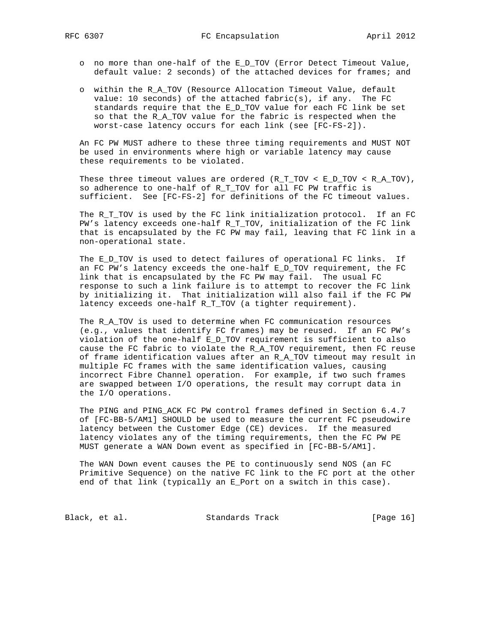- o no more than one-half of the E\_D\_TOV (Error Detect Timeout Value, default value: 2 seconds) of the attached devices for frames; and
- o within the R\_A\_TOV (Resource Allocation Timeout Value, default value: 10 seconds) of the attached fabric(s), if any. The FC standards require that the E\_D\_TOV value for each FC link be set so that the R\_A\_TOV value for the fabric is respected when the worst-case latency occurs for each link (see [FC-FS-2]).

 An FC PW MUST adhere to these three timing requirements and MUST NOT be used in environments where high or variable latency may cause these requirements to be violated.

 These three timeout values are ordered (R\_T\_TOV < E\_D\_TOV < R\_A\_TOV), so adherence to one-half of  $R_T$  TOV for all FC PW traffic is sufficient. See [FC-FS-2] for definitions of the FC timeout values.

The R\_T\_TOV is used by the FC link initialization protocol. If an FC PW's latency exceeds one-half R\_T\_TOV, initialization of the FC link that is encapsulated by the FC PW may fail, leaving that FC link in a non-operational state.

The E\_D\_TOV is used to detect failures of operational FC links. If an FC PW's latency exceeds the one-half  $E_D_T$ TOV requirement, the FC link that is encapsulated by the FC PW may fail. The usual FC response to such a link failure is to attempt to recover the FC link by initializing it. That initialization will also fail if the FC PW latency exceeds one-half R\_T\_TOV (a tighter requirement).

 The R\_A\_TOV is used to determine when FC communication resources (e.g., values that identify FC frames) may be reused. If an FC PW's violation of the one-half E\_D\_TOV requirement is sufficient to also cause the FC fabric to violate the R\_A\_TOV requirement, then FC reuse of frame identification values after an R\_A\_TOV timeout may result in multiple FC frames with the same identification values, causing incorrect Fibre Channel operation. For example, if two such frames are swapped between I/O operations, the result may corrupt data in the I/O operations.

 The PING and PING\_ACK FC PW control frames defined in Section 6.4.7 of [FC-BB-5/AM1] SHOULD be used to measure the current FC pseudowire latency between the Customer Edge (CE) devices. If the measured latency violates any of the timing requirements, then the FC PW PE MUST generate a WAN Down event as specified in [FC-BB-5/AM1].

 The WAN Down event causes the PE to continuously send NOS (an FC Primitive Sequence) on the native FC link to the FC port at the other end of that link (typically an E\_Port on a switch in this case).

Black, et al. Standards Track [Page 16]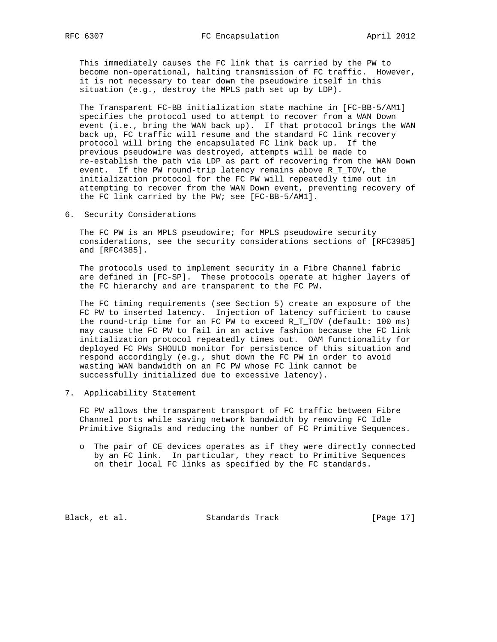This immediately causes the FC link that is carried by the PW to become non-operational, halting transmission of FC traffic. However, it is not necessary to tear down the pseudowire itself in this situation (e.g., destroy the MPLS path set up by LDP).

 The Transparent FC-BB initialization state machine in [FC-BB-5/AM1] specifies the protocol used to attempt to recover from a WAN Down event (i.e., bring the WAN back up). If that protocol brings the WAN back up, FC traffic will resume and the standard FC link recovery protocol will bring the encapsulated FC link back up. If the previous pseudowire was destroyed, attempts will be made to re-establish the path via LDP as part of recovering from the WAN Down event. If the PW round-trip latency remains above R\_T\_TOV, the initialization protocol for the FC PW will repeatedly time out in attempting to recover from the WAN Down event, preventing recovery of the FC link carried by the PW; see [FC-BB-5/AM1].

6. Security Considerations

 The FC PW is an MPLS pseudowire; for MPLS pseudowire security considerations, see the security considerations sections of [RFC3985] and [RFC4385].

 The protocols used to implement security in a Fibre Channel fabric are defined in [FC-SP]. These protocols operate at higher layers of the FC hierarchy and are transparent to the FC PW.

 The FC timing requirements (see Section 5) create an exposure of the FC PW to inserted latency. Injection of latency sufficient to cause the round-trip time for an FC PW to exceed R\_T\_TOV (default: 100 ms) may cause the FC PW to fail in an active fashion because the FC link initialization protocol repeatedly times out. OAM functionality for deployed FC PWs SHOULD monitor for persistence of this situation and respond accordingly (e.g., shut down the FC PW in order to avoid wasting WAN bandwidth on an FC PW whose FC link cannot be successfully initialized due to excessive latency).

7. Applicability Statement

 FC PW allows the transparent transport of FC traffic between Fibre Channel ports while saving network bandwidth by removing FC Idle Primitive Signals and reducing the number of FC Primitive Sequences.

 o The pair of CE devices operates as if they were directly connected by an FC link. In particular, they react to Primitive Sequences on their local FC links as specified by the FC standards.

Black, et al. Standards Track [Page 17]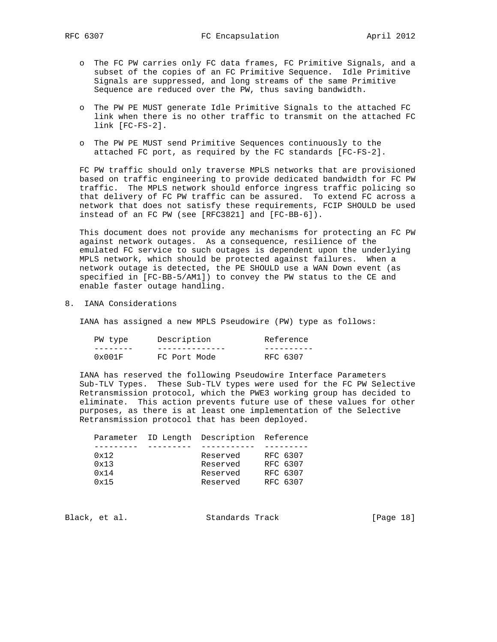- o The FC PW carries only FC data frames, FC Primitive Signals, and a subset of the copies of an FC Primitive Sequence. Idle Primitive Signals are suppressed, and long streams of the same Primitive Sequence are reduced over the PW, thus saving bandwidth.
- o The PW PE MUST generate Idle Primitive Signals to the attached FC link when there is no other traffic to transmit on the attached FC link [FC-FS-2].
- o The PW PE MUST send Primitive Sequences continuously to the attached FC port, as required by the FC standards [FC-FS-2].

 FC PW traffic should only traverse MPLS networks that are provisioned based on traffic engineering to provide dedicated bandwidth for FC PW traffic. The MPLS network should enforce ingress traffic policing so that delivery of FC PW traffic can be assured. To extend FC across a network that does not satisfy these requirements, FCIP SHOULD be used instead of an FC PW (see [RFC3821] and [FC-BB-6]).

 This document does not provide any mechanisms for protecting an FC PW against network outages. As a consequence, resilience of the emulated FC service to such outages is dependent upon the underlying MPLS network, which should be protected against failures. When a network outage is detected, the PE SHOULD use a WAN Down event (as specified in [FC-BB-5/AM1]) to convey the PW status to the CE and enable faster outage handling.

8. IANA Considerations

IANA has assigned a new MPLS Pseudowire (PW) type as follows:

| PW type | Description  | Reference |
|---------|--------------|-----------|
|         |              |           |
| 0x001F  | FC Port Mode | RFC 6307  |

 IANA has reserved the following Pseudowire Interface Parameters Sub-TLV Types. These Sub-TLV types were used for the FC PW Selective Retransmission protocol, which the PWE3 working group has decided to eliminate. This action prevents future use of these values for other purposes, as there is at least one implementation of the Selective Retransmission protocol that has been deployed.

|      | Parameter ID Length Description Reference |          |
|------|-------------------------------------------|----------|
|      |                                           |          |
| 0x12 | Reserved                                  | RFC 6307 |
| 0x13 | Reserved                                  | RFC 6307 |
| 0x14 | Reserved                                  | RFC 6307 |
| 0x15 | Reserved                                  | RFC 6307 |
|      |                                           |          |

Black, et al. Standards Track [Page 18]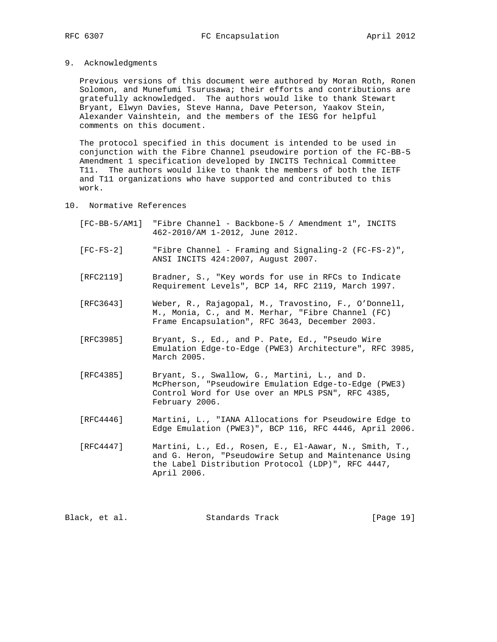9. Acknowledgments

 Previous versions of this document were authored by Moran Roth, Ronen Solomon, and Munefumi Tsurusawa; their efforts and contributions are gratefully acknowledged. The authors would like to thank Stewart Bryant, Elwyn Davies, Steve Hanna, Dave Peterson, Yaakov Stein, Alexander Vainshtein, and the members of the IESG for helpful comments on this document.

 The protocol specified in this document is intended to be used in conjunction with the Fibre Channel pseudowire portion of the FC-BB-5 Amendment 1 specification developed by INCITS Technical Committee T11. The authors would like to thank the members of both the IETF and T11 organizations who have supported and contributed to this work.

- 10. Normative References
	- [FC-BB-5/AM1] "Fibre Channel Backbone-5 / Amendment 1", INCITS 462-2010/AM 1-2012, June 2012.
	- [FC-FS-2] "Fibre Channel Framing and Signaling-2 (FC-FS-2)", ANSI INCITS 424:2007, August 2007.
	- [RFC2119] Bradner, S., "Key words for use in RFCs to Indicate Requirement Levels", BCP 14, RFC 2119, March 1997.
	- [RFC3643] Weber, R., Rajagopal, M., Travostino, F., O'Donnell, M., Monia, C., and M. Merhar, "Fibre Channel (FC) Frame Encapsulation", RFC 3643, December 2003.
	- [RFC3985] Bryant, S., Ed., and P. Pate, Ed., "Pseudo Wire Emulation Edge-to-Edge (PWE3) Architecture", RFC 3985, March 2005.
	- [RFC4385] Bryant, S., Swallow, G., Martini, L., and D. McPherson, "Pseudowire Emulation Edge-to-Edge (PWE3) Control Word for Use over an MPLS PSN", RFC 4385, February 2006.
	- [RFC4446] Martini, L., "IANA Allocations for Pseudowire Edge to Edge Emulation (PWE3)", BCP 116, RFC 4446, April 2006.
	- [RFC4447] Martini, L., Ed., Rosen, E., El-Aawar, N., Smith, T., and G. Heron, "Pseudowire Setup and Maintenance Using the Label Distribution Protocol (LDP)", RFC 4447, April 2006.

Black, et al. Standards Track [Page 19]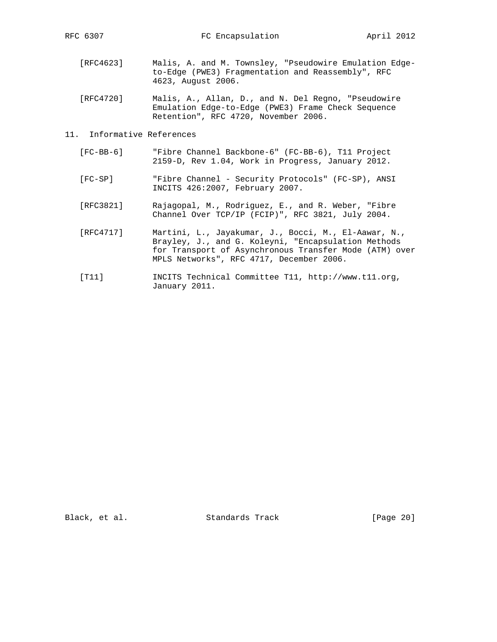- [RFC4623] Malis, A. and M. Townsley, "Pseudowire Emulation Edge to-Edge (PWE3) Fragmentation and Reassembly", RFC 4623, August 2006.
- [RFC4720] Malis, A., Allan, D., and N. Del Regno, "Pseudowire Emulation Edge-to-Edge (PWE3) Frame Check Sequence Retention", RFC 4720, November 2006.
- 11. Informative References
	- [FC-BB-6] "Fibre Channel Backbone-6" (FC-BB-6), T11 Project 2159-D, Rev 1.04, Work in Progress, January 2012.
- [FC-SP] "Fibre Channel Security Protocols" (FC-SP), ANSI INCITS 426:2007, February 2007.
	- [RFC3821] Rajagopal, M., Rodriguez, E., and R. Weber, "Fibre Channel Over TCP/IP (FCIP)", RFC 3821, July 2004.
	- [RFC4717] Martini, L., Jayakumar, J., Bocci, M., El-Aawar, N., Brayley, J., and G. Koleyni, "Encapsulation Methods for Transport of Asynchronous Transfer Mode (ATM) over MPLS Networks", RFC 4717, December 2006.
	- [T11] INCITS Technical Committee T11, http://www.t11.org, January 2011.

Black, et al. Standards Track [Page 20]